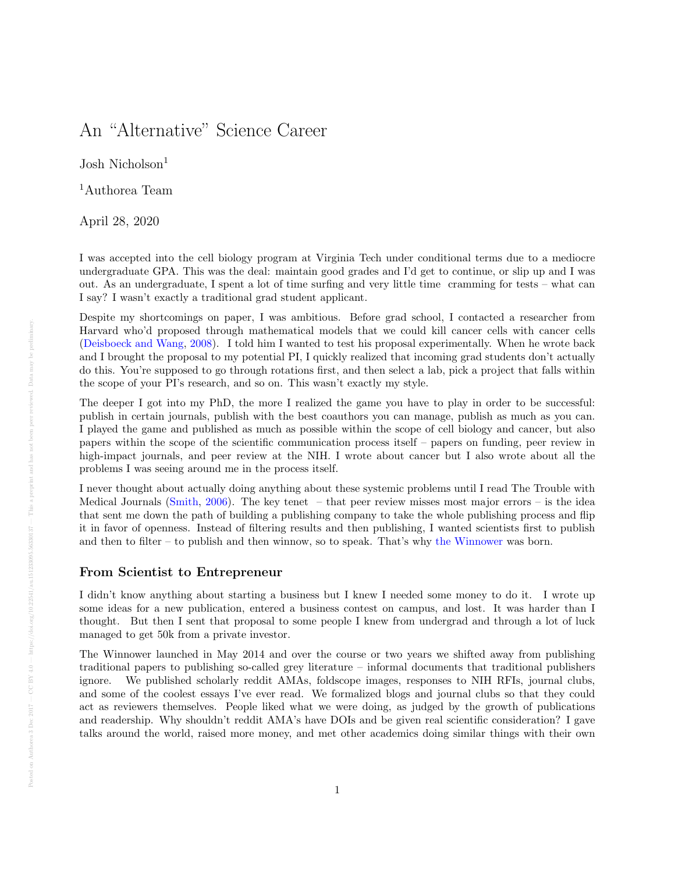## An "Alternative" Science Career

Josh Nicholson<sup>1</sup>

<sup>1</sup>Authorea Team

April 28, 2020

I was accepted into the cell biology program at Virginia Tech under conditional terms due to a mediocre undergraduate GPA. This was the deal: maintain good grades and I'd get to continue, or slip up and I was out. As an undergraduate, I spent a lot of time surfing and very little time cramming for tests – what can I say? I wasn't exactly a traditional grad student applicant.

Despite my shortcomings on paper, I was ambitious. Before grad school, I contacted a researcher from Harvard who'd proposed through mathematical models that we could kill cancer cells with cancer cells [\(Deisboeck and Wang,](#page-1-0) [2008\)](#page-1-0). I told him I wanted to test his proposal experimentally. When he wrote back and I brought the proposal to my potential PI, I quickly realized that incoming grad students don't actually do this. You're supposed to go through rotations first, and then select a lab, pick a project that falls within the scope of your PI's research, and so on. This wasn't exactly my style.

The deeper I got into my PhD, the more I realized the game you have to play in order to be successful: publish in certain journals, publish with the best coauthors you can manage, publish as much as you can. I played the game and published as much as possible within the scope of cell biology and cancer, but also papers within the scope of the scientific communication process itself – papers on funding, peer review in high-impact journals, and peer review at the NIH. I wrote about cancer but I also wrote about all the problems I was seeing around me in the process itself.

I never thought about actually doing anything about these systemic problems until I read The Trouble with Medical Journals [\(Smith,](#page-1-1) [2006\)](#page-1-1). The key tenet  $-$  that peer review misses most major errors  $-$  is the idea that sent me down the path of building a publishing company to take the whole publishing process and flip it in favor of openness. Instead of filtering results and then publishing, I wanted scientists first to publish and then to filter – to publish and then winnow, so to speak. That's why [the Winnower](https://thewinnower.com/) was born.

## From Scientist to Entrepreneur

I didn't know anything about starting a business but I knew I needed some money to do it. I wrote up some ideas for a new publication, entered a business contest on campus, and lost. It was harder than I thought. But then I sent that proposal to some people I knew from undergrad and through a lot of luck managed to get 50k from a private investor.

The Winnower launched in May 2014 and over the course or two years we shifted away from publishing traditional papers to publishing so-called grey literature – informal documents that traditional publishers ignore. We published scholarly reddit AMAs, foldscope images, responses to NIH RFIs, journal clubs, and some of the coolest essays I've ever read. We formalized blogs and journal clubs so that they could act as reviewers themselves. People liked what we were doing, as judged by the growth of publications and readership. Why shouldn't reddit AMA's have DOIs and be given real scientific consideration? I gave talks around the world, raised more money, and met other academics doing similar things with their own